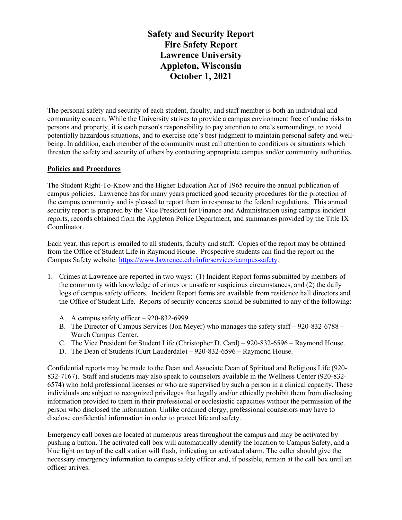**Safety and Security Report Fire Safety Report Lawrence University Appleton, Wisconsin October 1, 2021**

The personal safety and security of each student, faculty, and staff member is both an individual and community concern. While the University strives to provide a campus environment free of undue risks to persons and property, it is each person's responsibility to pay attention to one's surroundings, to avoid potentially hazardous situations, and to exercise one's best judgment to maintain personal safety and wellbeing. In addition, each member of the community must call attention to conditions or situations which threaten the safety and security of others by contacting appropriate campus and/or community authorities.

### **Policies and Procedures**

The Student Right-To-Know and the Higher Education Act of 1965 require the annual publication of campus policies. Lawrence has for many years practiced good security procedures for the protection of the campus community and is pleased to report them in response to the federal regulations. This annual security report is prepared by the Vice President for Finance and Administration using campus incident reports, records obtained from the Appleton Police Department, and summaries provided by the Title IX Coordinator.

Each year, this report is emailed to all students, faculty and staff. Copies of the report may be obtained from the Office of Student Life in Raymond House. Prospective students can find the report on the Campus Safety website: https://www.lawrence.edu/info/services/campus-safety.

- 1. Crimes at Lawrence are reported in two ways: (1) Incident Report forms submitted by members of the community with knowledge of crimes or unsafe or suspicious circumstances, and (2) the daily logs of campus safety officers. Incident Report forms are available from residence hall directors and the Office of Student Life. Reports of security concerns should be submitted to any of the following:
	- A. A campus safety officer 920-832-6999.
	- B. The Director of Campus Services (Jon Meyer) who manages the safety staff 920-832-6788 Warch Campus Center.
	- C. The Vice President for Student Life (Christopher D. Card) 920-832-6596 Raymond House.
	- D. The Dean of Students (Curt Lauderdale) 920-832-6596 Raymond House.

Confidential reports may be made to the Dean and Associate Dean of Spiritual and Religious Life (920- 832-7167). Staff and students may also speak to counselors available in the Wellness Center (920-832- 6574) who hold professional licenses or who are supervised by such a person in a clinical capacity. These individuals are subject to recognized privileges that legally and/or ethically prohibit them from disclosing information provided to them in their professional or ecclesiastic capacities without the permission of the person who disclosed the information. Unlike ordained clergy, professional counselors may have to disclose confidential information in order to protect life and safety.

Emergency call boxes are located at numerous areas throughout the campus and may be activated by pushing a button. The activated call box will automatically identify the location to Campus Safety, and a blue light on top of the call station will flash, indicating an activated alarm. The caller should give the necessary emergency information to campus safety officer and, if possible, remain at the call box until an officer arrives.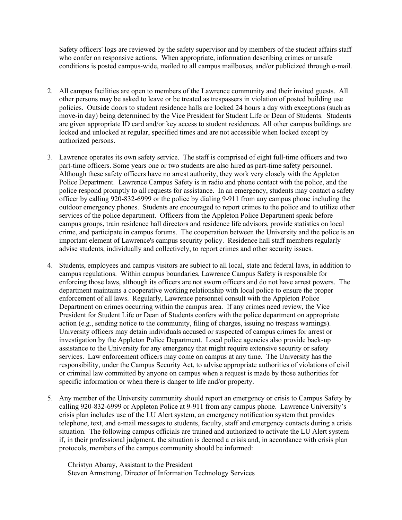Safety officers' logs are reviewed by the safety supervisor and by members of the student affairs staff who confer on responsive actions. When appropriate, information describing crimes or unsafe conditions is posted campus-wide, mailed to all campus mailboxes, and/or publicized through e-mail.

- 2. All campus facilities are open to members of the Lawrence community and their invited guests. All other persons may be asked to leave or be treated as trespassers in violation of posted building use policies. Outside doors to student residence halls are locked 24 hours a day with exceptions (such as move-in day) being determined by the Vice President for Student Life or Dean of Students. Students are given appropriate ID card and/or key access to student residences. All other campus buildings are locked and unlocked at regular, specified times and are not accessible when locked except by authorized persons.
- 3. Lawrence operates its own safety service. The staff is comprised of eight full-time officers and two part-time officers. Some years one or two students are also hired as part-time safety personnel. Although these safety officers have no arrest authority, they work very closely with the Appleton Police Department. Lawrence Campus Safety is in radio and phone contact with the police, and the police respond promptly to all requests for assistance. In an emergency, students may contact a safety officer by calling 920-832-6999 or the police by dialing 9-911 from any campus phone including the outdoor emergency phones. Students are encouraged to report crimes to the police and to utilize other services of the police department. Officers from the Appleton Police Department speak before campus groups, train residence hall directors and residence life advisors, provide statistics on local crime, and participate in campus forums. The cooperation between the University and the police is an important element of Lawrence's campus security policy. Residence hall staff members regularly advise students, individually and collectively, to report crimes and other security issues.
- 4. Students, employees and campus visitors are subject to all local, state and federal laws, in addition to campus regulations. Within campus boundaries, Lawrence Campus Safety is responsible for enforcing those laws, although its officers are not sworn officers and do not have arrest powers. The department maintains a cooperative working relationship with local police to ensure the proper enforcement of all laws. Regularly, Lawrence personnel consult with the Appleton Police Department on crimes occurring within the campus area. If any crimes need review, the Vice President for Student Life or Dean of Students confers with the police department on appropriate action (e.g., sending notice to the community, filing of charges, issuing no trespass warnings). University officers may detain individuals accused or suspected of campus crimes for arrest or investigation by the Appleton Police Department. Local police agencies also provide back-up assistance to the University for any emergency that might require extensive security or safety services. Law enforcement officers may come on campus at any time. The University has the responsibility, under the Campus Security Act, to advise appropriate authorities of violations of civil or criminal law committed by anyone on campus when a request is made by those authorities for specific information or when there is danger to life and/or property.
- 5. Any member of the University community should report an emergency or crisis to Campus Safety by calling 920-832-6999 or Appleton Police at 9-911 from any campus phone. Lawrence University's crisis plan includes use of the LU Alert system, an emergency notification system that provides telephone, text, and e-mail messages to students, faculty, staff and emergency contacts during a crisis situation. The following campus officials are trained and authorized to activate the LU Alert system if, in their professional judgment, the situation is deemed a crisis and, in accordance with crisis plan protocols, members of the campus community should be informed:

Christyn Abaray, Assistant to the President Steven Armstrong, Director of Information Technology Services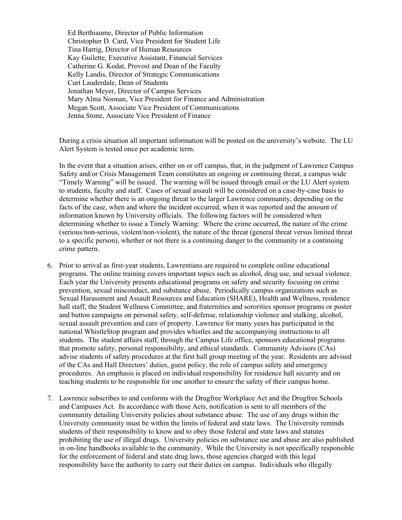Ed Berthiaume, Director of Public Information Christopher D. Card, Vice President for Student Life Tina Harrig, Director of Human Resources Kay Guilette, Executive Assistant, Financial Services Catherine G. Kodat, Provost and Dean of the Faculty Kelly Landis, Director of Strategic Communications Curt Lauderdale, Dean of Students Jonathan Meyer, Director of Campus Services Mary Alma Noonan, Vice President for Finance and Administration Megan Scott, Associate Vice President of Communications Jenna Stone, Associate Vice President of Finance

During a crisis situation all important information will be posted on the university's website. The LU Alert System is tested once per academic term.

In the event that a situation arises, either on or off campus, that, in the judgment of Lawrence Campus Safety and/or Crisis Management Team constitutes an ongoing or continuing threat, a campus wide "Timely Warning" will be issued. The warning will be issued through email or the LU Alert system to students, faculty and staff. Cases of sexual assault will be considered on a case-by-case basis to determine whether there is an ongoing threat to the larger Lawrence community, depending on the facts of the case, when and where the incident occurred, when it was reported and the amount of information known by University officials. The following factors will be considered when determining whether to issue a Timely Warning: Where the crime occurred, the nature of the crime (serious/non-serious, violent/non-violent), the nature of the threat (general threat versus limited threat to a specific person), whether or not there is a continuing danger to the community or a continuing crime pattern.

- 6. Prior to arrival as first-year students, Lawrentians are required to complete online educational programs. The online training covers important topics such as alcohol, drug use, and sexual violence. Each year the University presents educational programs on safety and security focusing on crime prevention, sexual misconduct, and substance abuse. Periodically campus organizations such as Sexual Harassment and Assault Resources and Education (SHARE), Health and Wellness, residence hall staff, the Student Wellness Committee, and fraternities and sororities sponsor programs or poster and button campaigns on personal safety, self-defense, relationship violence and stalking, alcohol, sexual assault prevention and care of property. Lawrence for many years has participated in the national WhistleStop program and provides whistles and the accompanying instructions to all students. The student affairs staff, through the Campus Life office, sponsors educational programs that promote safety, personal responsibility, and ethical standards. Community Advisors (CAs) advise students of safety procedures at the first hall group meeting of the year. Residents are advised of the CAs and Hall Directors' duties, guest policy, the role of campus safety and emergency procedures. An emphasis is placed on individual responsibility for residence hall security and on teaching students to be responsible for one another to ensure the safety of their campus home.
- 7. Lawrence subscribes to and conforms with the Drugfree Workplace Act and the Drugfree Schools and Campuses Act. In accordance with those Acts, notification is sent to all members of the community detailing University policies about substance abuse. The use of any drugs within the University community must be within the limits of federal and state laws. The University reminds students of their responsibility to know and to obey those federal and state laws and statutes prohibiting the use of illegal drugs. University policies on substance use and abuse are also published in on-line handbooks available to the community. While the University is not specifically responsible for the enforcement of federal and state drug laws, those agencies charged with this legal responsibility have the authority to carry out their duties on campus. Individuals who illegally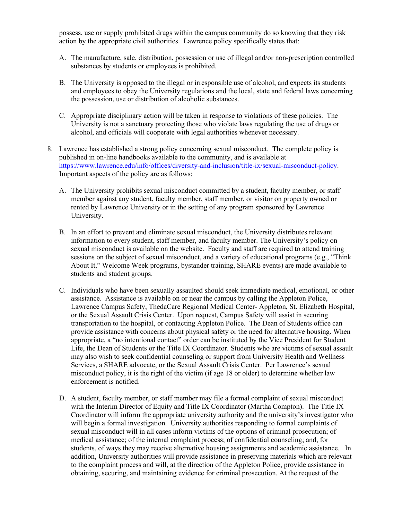possess, use or supply prohibited drugs within the campus community do so knowing that they risk action by the appropriate civil authorities. Lawrence policy specifically states that:

- A. The manufacture, sale, distribution, possession or use of illegal and/or non-prescription controlled substances by students or employees is prohibited.
- B. The University is opposed to the illegal or irresponsible use of alcohol, and expects its students and employees to obey the University regulations and the local, state and federal laws concerning the possession, use or distribution of alcoholic substances.
- C. Appropriate disciplinary action will be taken in response to violations of these policies. The University is not a sanctuary protecting those who violate laws regulating the use of drugs or alcohol, and officials will cooperate with legal authorities whenever necessary.
- 8. Lawrence has established a strong policy concerning sexual misconduct. The complete policy is published in on-line handbooks available to the community, and is available at https://www.lawrence.edu/info/offices/diversity-and-inclusion/title-ix/sexual-misconduct-policy. Important aspects of the policy are as follows:
	- A. The University prohibits sexual misconduct committed by a student, faculty member, or staff member against any student, faculty member, staff member, or visitor on property owned or rented by Lawrence University or in the setting of any program sponsored by Lawrence University.
	- B. In an effort to prevent and eliminate sexual misconduct, the University distributes relevant information to every student, staff member, and faculty member. The University's policy on sexual misconduct is available on the website. Faculty and staff are required to attend training sessions on the subject of sexual misconduct, and a variety of educational programs (e.g., "Think About It," Welcome Week programs, bystander training, SHARE events) are made available to students and student groups.
	- C. Individuals who have been sexually assaulted should seek immediate medical, emotional, or other assistance. Assistance is available on or near the campus by calling the Appleton Police, Lawrence Campus Safety, ThedaCare Regional Medical Center- Appleton, St. Elizabeth Hospital, or the Sexual Assault Crisis Center. Upon request, Campus Safety will assist in securing transportation to the hospital, or contacting Appleton Police. The Dean of Students office can provide assistance with concerns about physical safety or the need for alternative housing. When appropriate, a "no intentional contact" order can be instituted by the Vice President for Student Life, the Dean of Students or the Title IX Coordinator. Students who are victims of sexual assault may also wish to seek confidential counseling or support from University Health and Wellness Services, a SHARE advocate, or the Sexual Assault Crisis Center. Per Lawrence's sexual misconduct policy, it is the right of the victim (if age 18 or older) to determine whether law enforcement is notified.
	- D. A student, faculty member, or staff member may file a formal complaint of sexual misconduct with the Interim Director of Equity and Title IX Coordinator (Martha Compton). The Title IX Coordinator will inform the appropriate university authority and the university's investigator who will begin a formal investigation. University authorities responding to formal complaints of sexual misconduct will in all cases inform victims of the options of criminal prosecution; of medical assistance; of the internal complaint process; of confidential counseling; and, for students, of ways they may receive alternative housing assignments and academic assistance. In addition, University authorities will provide assistance in preserving materials which are relevant to the complaint process and will, at the direction of the Appleton Police, provide assistance in obtaining, securing, and maintaining evidence for criminal prosecution. At the request of the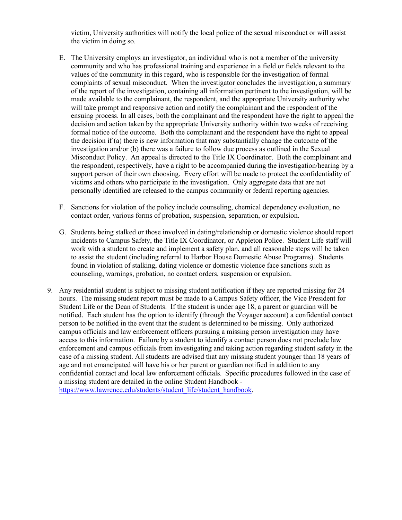victim, University authorities will notify the local police of the sexual misconduct or will assist the victim in doing so.

- E. The University employs an investigator, an individual who is not a member of the university community and who has professional training and experience in a field or fields relevant to the values of the community in this regard, who is responsible for the investigation of formal complaints of sexual misconduct. When the investigator concludes the investigation, a summary of the report of the investigation, containing all information pertinent to the investigation, will be made available to the complainant, the respondent, and the appropriate University authority who will take prompt and responsive action and notify the complainant and the respondent of the ensuing process. In all cases, both the complainant and the respondent have the right to appeal the decision and action taken by the appropriate University authority within two weeks of receiving formal notice of the outcome. Both the complainant and the respondent have the right to appeal the decision if (a) there is new information that may substantially change the outcome of the investigation and/or (b) there was a failure to follow due process as outlined in the Sexual Misconduct Policy. An appeal is directed to the Title IX Coordinator. Both the complainant and the respondent, respectively, have a right to be accompanied during the investigation/hearing by a support person of their own choosing. Every effort will be made to protect the confidentiality of victims and others who participate in the investigation. Only aggregate data that are not personally identified are released to the campus community or federal reporting agencies.
- F. Sanctions for violation of the policy include counseling, chemical dependency evaluation, no contact order, various forms of probation, suspension, separation, or expulsion.
- G. Students being stalked or those involved in dating/relationship or domestic violence should report incidents to Campus Safety, the Title IX Coordinator, or Appleton Police. Student Life staff will work with a student to create and implement a safety plan, and all reasonable steps will be taken to assist the student (including referral to Harbor House Domestic Abuse Programs). Students found in violation of stalking, dating violence or domestic violence face sanctions such as counseling, warnings, probation, no contact orders, suspension or expulsion.
- 9. Any residential student is subject to missing student notification if they are reported missing for 24 hours. The missing student report must be made to a Campus Safety officer, the Vice President for Student Life or the Dean of Students. If the student is under age 18, a parent or guardian will be notified. Each student has the option to identify (through the Voyager account) a confidential contact person to be notified in the event that the student is determined to be missing. Only authorized campus officials and law enforcement officers pursuing a missing person investigation may have access to this information. Failure by a student to identify a contact person does not preclude law enforcement and campus officials from investigating and taking action regarding student safety in the case of a missing student. All students are advised that any missing student younger than 18 years of age and not emancipated will have his or her parent or guardian notified in addition to any confidential contact and local law enforcement officials. Specific procedures followed in the case of a missing student are detailed in the online Student Handbook https://www.lawrence.edu/students/student\_life/student\_handbook.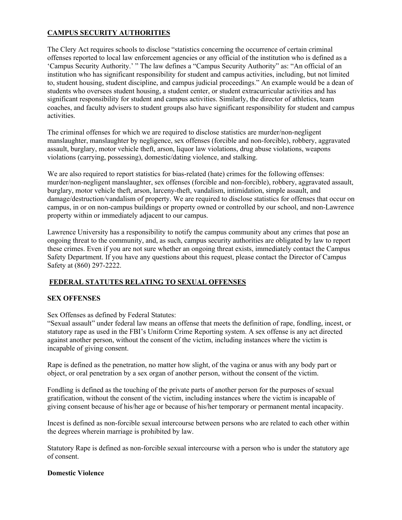## **CAMPUS SECURITY AUTHORITIES**

The Clery Act requires schools to disclose "statistics concerning the occurrence of certain criminal offenses reported to local law enforcement agencies or any official of the institution who is defined as a 'Campus Security Authority.' " The law defines a "Campus Security Authority" as: "An official of an institution who has significant responsibility for student and campus activities, including, but not limited to, student housing, student discipline, and campus judicial proceedings." An example would be a dean of students who oversees student housing, a student center, or student extracurricular activities and has significant responsibility for student and campus activities. Similarly, the director of athletics, team coaches, and faculty advisers to student groups also have significant responsibility for student and campus activities.

The criminal offenses for which we are required to disclose statistics are murder/non-negligent manslaughter, manslaughter by negligence, sex offenses (forcible and non-forcible), robbery, aggravated assault, burglary, motor vehicle theft, arson, liquor law violations, drug abuse violations, weapons violations (carrying, possessing), domestic/dating violence, and stalking.

We are also required to report statistics for bias-related (hate) crimes for the following offenses: murder/non-negligent manslaughter, sex offenses (forcible and non-forcible), robbery, aggravated assault, burglary, motor vehicle theft, arson, larceny-theft, vandalism, intimidation, simple assault, and damage/destruction/vandalism of property. We are required to disclose statistics for offenses that occur on campus, in or on non-campus buildings or property owned or controlled by our school, and non-Lawrence property within or immediately adjacent to our campus.

Lawrence University has a responsibility to notify the campus community about any crimes that pose an ongoing threat to the community, and, as such, campus security authorities are obligated by law to report these crimes. Even if you are not sure whether an ongoing threat exists, immediately contact the Campus Safety Department. If you have any questions about this request, please contact the Director of Campus Safety at (860) 297-2222.

## **FEDERAL STATUTES RELATING TO SEXUAL OFFENSES**

## **SEX OFFENSES**

Sex Offenses as defined by Federal Statutes:

"Sexual assault" under federal law means an offense that meets the definition of rape, fondling, incest, or statutory rape as used in the FBI's Uniform Crime Reporting system. A sex offense is any act directed against another person, without the consent of the victim, including instances where the victim is incapable of giving consent.

Rape is defined as the penetration, no matter how slight, of the vagina or anus with any body part or object, or oral penetration by a sex organ of another person, without the consent of the victim.

Fondling is defined as the touching of the private parts of another person for the purposes of sexual gratification, without the consent of the victim, including instances where the victim is incapable of giving consent because of his/her age or because of his/her temporary or permanent mental incapacity.

Incest is defined as non-forcible sexual intercourse between persons who are related to each other within the degrees wherein marriage is prohibited by law.

Statutory Rape is defined as non-forcible sexual intercourse with a person who is under the statutory age of consent.

### **Domestic Violence**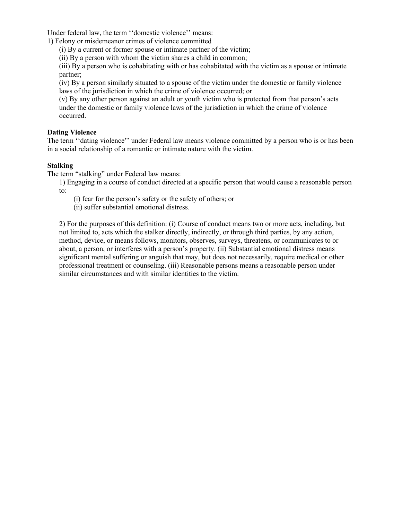Under federal law, the term ''domestic violence'' means:

1) Felony or misdemeanor crimes of violence committed

(i) By a current or former spouse or intimate partner of the victim;

(ii) By a person with whom the victim shares a child in common;

(iii) By a person who is cohabitating with or has cohabitated with the victim as a spouse or intimate partner;

(iv) By a person similarly situated to a spouse of the victim under the domestic or family violence laws of the jurisdiction in which the crime of violence occurred; or

(v) By any other person against an adult or youth victim who is protected from that person's acts under the domestic or family violence laws of the jurisdiction in which the crime of violence occurred.

### **Dating Violence**

The term ''dating violence'' under Federal law means violence committed by a person who is or has been in a social relationship of a romantic or intimate nature with the victim.

### **Stalking**

The term "stalking" under Federal law means:

- 1) Engaging in a course of conduct directed at a specific person that would cause a reasonable person to:
	- (i) fear for the person's safety or the safety of others; or
	- (ii) suffer substantial emotional distress.

2) For the purposes of this definition: (i) Course of conduct means two or more acts, including, but not limited to, acts which the stalker directly, indirectly, or through third parties, by any action, method, device, or means follows, monitors, observes, surveys, threatens, or communicates to or about, a person, or interferes with a person's property. (ii) Substantial emotional distress means significant mental suffering or anguish that may, but does not necessarily, require medical or other professional treatment or counseling. (iii) Reasonable persons means a reasonable person under similar circumstances and with similar identities to the victim.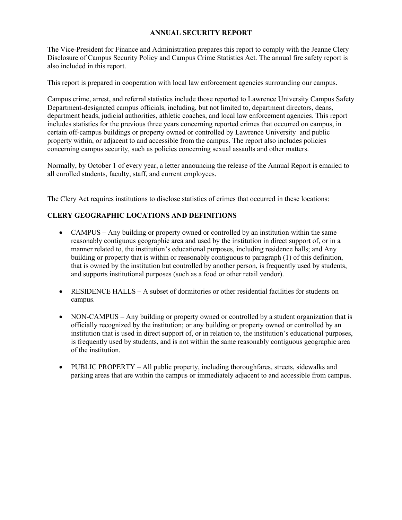## **ANNUAL SECURITY REPORT**

The Vice-President for Finance and Administration prepares this report to comply with the Jeanne Clery Disclosure of Campus Security Policy and Campus Crime Statistics Act. The annual fire safety report is also included in this report.

This report is prepared in cooperation with local law enforcement agencies surrounding our campus.

Campus crime, arrest, and referral statistics include those reported to Lawrence University Campus Safety Department-designated campus officials, including, but not limited to, department directors, deans, department heads, judicial authorities, athletic coaches, and local law enforcement agencies. This report includes statistics for the previous three years concerning reported crimes that occurred on campus, in certain off-campus buildings or property owned or controlled by Lawrence University and public property within, or adjacent to and accessible from the campus. The report also includes policies concerning campus security, such as policies concerning sexual assaults and other matters.

Normally, by October 1 of every year, a letter announcing the release of the Annual Report is emailed to all enrolled students, faculty, staff, and current employees.

The Clery Act requires institutions to disclose statistics of crimes that occurred in these locations:

## **CLERY GEOGRAPHIC LOCATIONS AND DEFINITIONS**

- CAMPUS Any building or property owned or controlled by an institution within the same reasonably contiguous geographic area and used by the institution in direct support of, or in a manner related to, the institution's educational purposes, including residence halls; and Any building or property that is within or reasonably contiguous to paragraph (1) of this definition, that is owned by the institution but controlled by another person, is frequently used by students, and supports institutional purposes (such as a food or other retail vendor).
- RESIDENCE HALLS A subset of dormitories or other residential facilities for students on campus.
- NON-CAMPUS Any building or property owned or controlled by a student organization that is officially recognized by the institution; or any building or property owned or controlled by an institution that is used in direct support of, or in relation to, the institution's educational purposes, is frequently used by students, and is not within the same reasonably contiguous geographic area of the institution.
- PUBLIC PROPERTY All public property, including thoroughfares, streets, sidewalks and parking areas that are within the campus or immediately adjacent to and accessible from campus.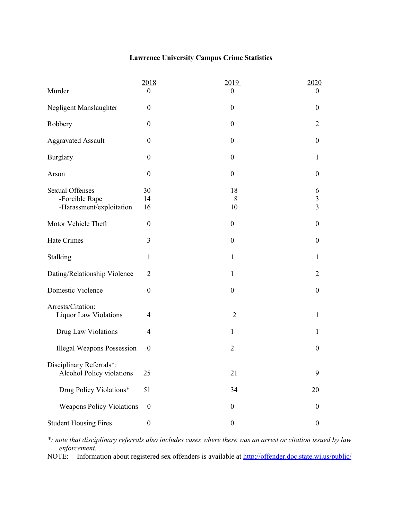# **Lawrence University Campus Crime Statistics**

|                                                       | 2018             | 2019             | 2020                    |
|-------------------------------------------------------|------------------|------------------|-------------------------|
| Murder                                                | $\boldsymbol{0}$ | $\theta$         | $\theta$                |
| Negligent Manslaughter                                | $\boldsymbol{0}$ | $\boldsymbol{0}$ | $\boldsymbol{0}$        |
| Robbery                                               | $\boldsymbol{0}$ | $\boldsymbol{0}$ | $\overline{2}$          |
| <b>Aggravated Assault</b>                             | $\boldsymbol{0}$ | $\boldsymbol{0}$ | $\boldsymbol{0}$        |
| <b>Burglary</b>                                       | $\boldsymbol{0}$ | $\boldsymbol{0}$ | $\mathbf{1}$            |
| Arson                                                 | $\boldsymbol{0}$ | $\boldsymbol{0}$ | $\boldsymbol{0}$        |
| <b>Sexual Offenses</b>                                | 30               | 18               | 6                       |
| -Forcible Rape                                        | 14               | 8                | $\mathfrak{Z}$          |
| -Harassment/exploitation                              | 16               | 10               | $\overline{\mathbf{3}}$ |
| Motor Vehicle Theft                                   | $\boldsymbol{0}$ | $\boldsymbol{0}$ | $\boldsymbol{0}$        |
| Hate Crimes                                           | 3                | $\boldsymbol{0}$ | $\boldsymbol{0}$        |
| Stalking                                              | $\mathbf{1}$     | $\mathbf{1}$     | $\mathbf{1}$            |
| Dating/Relationship Violence                          | $\overline{2}$   | $\mathbf{1}$     | $\overline{2}$          |
| Domestic Violence                                     | $\boldsymbol{0}$ | $\boldsymbol{0}$ | $\boldsymbol{0}$        |
| Arrests/Citation:                                     |                  |                  |                         |
| Liquor Law Violations                                 | $\overline{4}$   | $\overline{2}$   | $\mathbf{1}$            |
| Drug Law Violations                                   | 4                | $\mathbf{1}$     | 1                       |
| <b>Illegal Weapons Possession</b>                     | $\boldsymbol{0}$ | $\overline{2}$   | $\boldsymbol{0}$        |
|                                                       |                  |                  |                         |
| Disciplinary Referrals*:<br>Alcohol Policy violations | 25               | 21               | 9                       |
| Drug Policy Violations*                               | 51               | 34               | 20                      |
| <b>Weapons Policy Violations</b>                      | $\boldsymbol{0}$ | $\boldsymbol{0}$ | $\boldsymbol{0}$        |
| <b>Student Housing Fires</b>                          | $\boldsymbol{0}$ | $\boldsymbol{0}$ | $\boldsymbol{0}$        |

*\*: note that disciplinary referrals also includes cases where there was an arrest or citation issued by law enforcement.*

NOTE: Information about registered sex offenders is available at http://offender.doc.state.wi.us/public/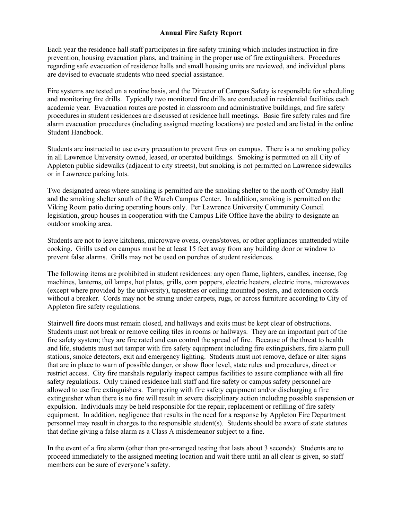## **Annual Fire Safety Report**

Each year the residence hall staff participates in fire safety training which includes instruction in fire prevention, housing evacuation plans, and training in the proper use of fire extinguishers. Procedures regarding safe evacuation of residence halls and small housing units are reviewed, and individual plans are devised to evacuate students who need special assistance.

Fire systems are tested on a routine basis, and the Director of Campus Safety is responsible for scheduling and monitoring fire drills. Typically two monitored fire drills are conducted in residential facilities each academic year. Evacuation routes are posted in classroom and administrative buildings, and fire safety procedures in student residences are discussed at residence hall meetings. Basic fire safety rules and fire alarm evacuation procedures (including assigned meeting locations) are posted and are listed in the online Student Handbook.

Students are instructed to use every precaution to prevent fires on campus. There is a no smoking policy in all Lawrence University owned, leased, or operated buildings. Smoking is permitted on all City of Appleton public sidewalks (adjacent to city streets), but smoking is not permitted on Lawrence sidewalks or in Lawrence parking lots.

Two designated areas where smoking is permitted are the smoking shelter to the north of Ormsby Hall and the smoking shelter south of the Warch Campus Center. In addition, smoking is permitted on the Viking Room patio during operating hours only. Per Lawrence University Community Council legislation, group houses in cooperation with the Campus Life Office have the ability to designate an outdoor smoking area.

Students are not to leave kitchens, microwave ovens, ovens/stoves, or other appliances unattended while cooking. Grills used on campus must be at least 15 feet away from any building door or window to prevent false alarms. Grills may not be used on porches of student residences.

The following items are prohibited in student residences: any open flame, lighters, candles, incense, fog machines, lanterns, oil lamps, hot plates, grills, corn poppers, electric heaters, electric irons, microwaves (except where provided by the university), tapestries or ceiling mounted posters, and extension cords without a breaker. Cords may not be strung under carpets, rugs, or across furniture according to City of Appleton fire safety regulations.

Stairwell fire doors must remain closed, and hallways and exits must be kept clear of obstructions. Students must not break or remove ceiling tiles in rooms or hallways. They are an important part of the fire safety system; they are fire rated and can control the spread of fire. Because of the threat to health and life, students must not tamper with fire safety equipment including fire extinguishers, fire alarm pull stations, smoke detectors, exit and emergency lighting. Students must not remove, deface or alter signs that are in place to warn of possible danger, or show floor level, state rules and procedures, direct or restrict access. City fire marshals regularly inspect campus facilities to assure compliance with all fire safety regulations. Only trained residence hall staff and fire safety or campus safety personnel are allowed to use fire extinguishers. Tampering with fire safety equipment and/or discharging a fire extinguisher when there is no fire will result in severe disciplinary action including possible suspension or expulsion. Individuals may be held responsible for the repair, replacement or refilling of fire safety equipment. In addition, negligence that results in the need for a response by Appleton Fire Department personnel may result in charges to the responsible student(s). Students should be aware of state statutes that define giving a false alarm as a Class A misdemeanor subject to a fine.

In the event of a fire alarm (other than pre-arranged testing that lasts about 3 seconds): Students are to proceed immediately to the assigned meeting location and wait there until an all clear is given, so staff members can be sure of everyone's safety.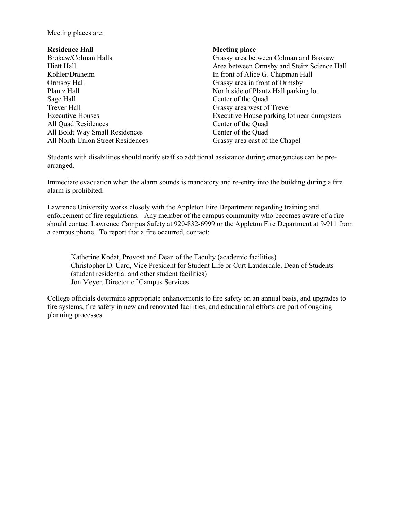Meeting places are:

#### **Residence Hall Meeting place**

Ormsby Hall Grassy area in front of Ormsby Sage Hall Center of the Quad Trever Hall Grassy area west of Trever All Ouad Residences Center of the Ouad All Boldt Way Small Residences Center of the Quad All North Union Street Residences Grassy area east of the Chapel

Brokaw/Colman Halls Grassy area between Colman and Brokaw Hiett Hall Area between Ormsby and Steitz Science Hall Kohler/Draheim In front of Alice G. Chapman Hall Plantz Hall North side of Plantz Hall parking lot Executive Houses Executive House parking lot near dumpsters

Students with disabilities should notify staff so additional assistance during emergencies can be prearranged.

Immediate evacuation when the alarm sounds is mandatory and re-entry into the building during a fire alarm is prohibited.

Lawrence University works closely with the Appleton Fire Department regarding training and enforcement of fire regulations. Any member of the campus community who becomes aware of a fire should contact Lawrence Campus Safety at 920-832-6999 or the Appleton Fire Department at 9-911 from a campus phone. To report that a fire occurred, contact:

Katherine Kodat, Provost and Dean of the Faculty (academic facilities) Christopher D. Card, Vice President for Student Life or Curt Lauderdale, Dean of Students (student residential and other student facilities) Jon Meyer, Director of Campus Services

College officials determine appropriate enhancements to fire safety on an annual basis, and upgrades to fire systems, fire safety in new and renovated facilities, and educational efforts are part of ongoing planning processes.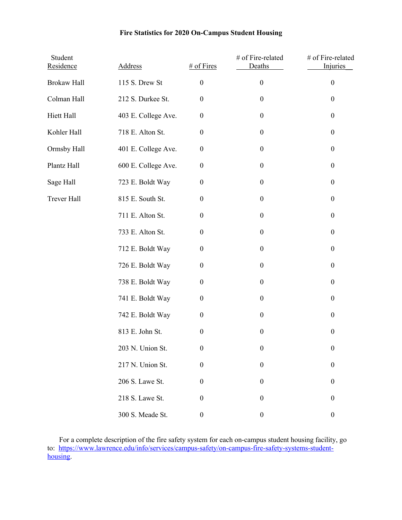# **Fire Statistics for 2020 On-Campus Student Housing**

| Student<br>Residence | <b>Address</b>      | $#$ of Fires     | # of Fire-related<br>Deaths | # of Fire-related<br><b>Injuries</b> |
|----------------------|---------------------|------------------|-----------------------------|--------------------------------------|
| <b>Brokaw Hall</b>   | 115 S. Drew St      | $\boldsymbol{0}$ | $\boldsymbol{0}$            | $\boldsymbol{0}$                     |
| Colman Hall          | 212 S. Durkee St.   | $\boldsymbol{0}$ | $\boldsymbol{0}$            | $\boldsymbol{0}$                     |
| Hiett Hall           | 403 E. College Ave. | $\boldsymbol{0}$ | $\boldsymbol{0}$            | $\boldsymbol{0}$                     |
| Kohler Hall          | 718 E. Alton St.    | $\boldsymbol{0}$ | $\boldsymbol{0}$            | $\boldsymbol{0}$                     |
| Ormsby Hall          | 401 E. College Ave. | $\boldsymbol{0}$ | $\boldsymbol{0}$            | $\boldsymbol{0}$                     |
| Plantz Hall          | 600 E. College Ave. | $\boldsymbol{0}$ | $\boldsymbol{0}$            | $\boldsymbol{0}$                     |
| Sage Hall            | 723 E. Boldt Way    | $\boldsymbol{0}$ | $\boldsymbol{0}$            | $\boldsymbol{0}$                     |
| Trever Hall          | 815 E. South St.    | $\boldsymbol{0}$ | $\boldsymbol{0}$            | $\boldsymbol{0}$                     |
|                      | 711 E. Alton St.    | $\boldsymbol{0}$ | $\boldsymbol{0}$            | $\boldsymbol{0}$                     |
|                      | 733 E. Alton St.    | $\boldsymbol{0}$ | $\boldsymbol{0}$            | $\boldsymbol{0}$                     |
|                      | 712 E. Boldt Way    | $\boldsymbol{0}$ | $\boldsymbol{0}$            | $\boldsymbol{0}$                     |
|                      | 726 E. Boldt Way    | $\boldsymbol{0}$ | $\boldsymbol{0}$            | $\boldsymbol{0}$                     |
|                      | 738 E. Boldt Way    | $\boldsymbol{0}$ | $\boldsymbol{0}$            | $\boldsymbol{0}$                     |
|                      | 741 E. Boldt Way    | $\boldsymbol{0}$ | $\boldsymbol{0}$            | $\boldsymbol{0}$                     |
|                      | 742 E. Boldt Way    | $\boldsymbol{0}$ | $\boldsymbol{0}$            | $\boldsymbol{0}$                     |
|                      | 813 E. John St.     | $\boldsymbol{0}$ | $\boldsymbol{0}$            | $\boldsymbol{0}$                     |
|                      | 203 N. Union St.    | $\boldsymbol{0}$ | $\boldsymbol{0}$            | $\boldsymbol{0}$                     |
|                      | 217 N. Union St.    | $\boldsymbol{0}$ | $\boldsymbol{0}$            | $\boldsymbol{0}$                     |
|                      | 206 S. Lawe St.     | $\boldsymbol{0}$ | $\boldsymbol{0}$            | $\boldsymbol{0}$                     |
|                      | 218 S. Lawe St.     | $\boldsymbol{0}$ | $\boldsymbol{0}$            | $\boldsymbol{0}$                     |
|                      | 300 S. Meade St.    | $\boldsymbol{0}$ | $\boldsymbol{0}$            | $\boldsymbol{0}$                     |

For a complete description of the fire safety system for each on-campus student housing facility, go [to: https://www.lawrence.edu/info/services/campus-safety/on-campus-fire-safety-systems-student](https://www.lawrence.edu/info/services/campus-safety/on-campus-fire-safety-systems-student-housing)housing.